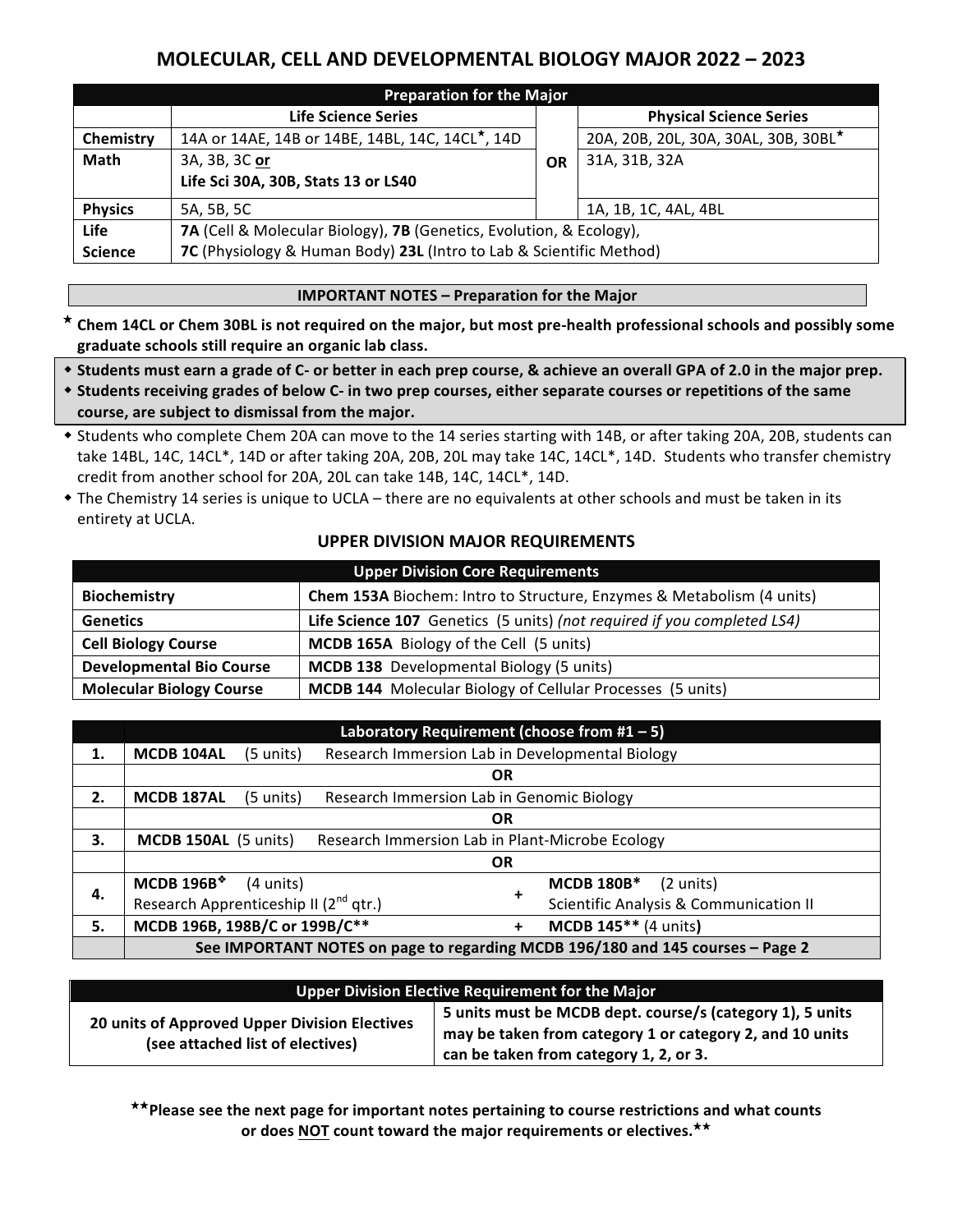# **MOLECULAR, CELL AND DEVELOPMENTAL BIOLOGY MAJOR 2022 – 2023**

| <b>Preparation for the Major</b> |                                                                     |  |                                      |  |  |  |  |
|----------------------------------|---------------------------------------------------------------------|--|--------------------------------------|--|--|--|--|
|                                  | <b>Life Science Series</b>                                          |  | <b>Physical Science Series</b>       |  |  |  |  |
| Chemistry                        | 14A or 14AE, 14B or 14BE, 14BL, 14C, 14CL*, 14D                     |  | 20A, 20B, 20L, 30A, 30AL, 30B, 30BL* |  |  |  |  |
| <b>Math</b>                      | 3A, 3B, 3C or                                                       |  | 31A, 31B, 32A                        |  |  |  |  |
|                                  | Life Sci 30A, 30B, Stats 13 or LS40                                 |  |                                      |  |  |  |  |
| <b>Physics</b>                   | 5A, 5B, 5C                                                          |  | 1A, 1B, 1C, 4AL, 4BL                 |  |  |  |  |
| <b>Life</b>                      | 7A (Cell & Molecular Biology), 7B (Genetics, Evolution, & Ecology), |  |                                      |  |  |  |  |
| <b>Science</b>                   | 7C (Physiology & Human Body) 23L (Intro to Lab & Scientific Method) |  |                                      |  |  |  |  |

#### **IMPORTANT NOTES - Preparation for the Major**

- \* Chem 14CL or Chem 30BL is not required on the major, but most pre-health professional schools and possibly some graduate schools still require an organic lab class.
- \* Students must earn a grade of C- or better in each prep course, & achieve an overall GPA of 2.0 in the major prep.
- \* Students receiving grades of below C- in two prep courses, either separate courses or repetitions of the same course, are subject to dismissal from the major.
- \* Students who complete Chem 20A can move to the 14 series starting with 14B, or after taking 20A, 20B, students can take 14BL, 14C, 14CL\*, 14D or after taking 20A, 20B, 20L may take 14C, 14CL\*, 14D. Students who transfer chemistry credit from another school for 20A, 20L can take 14B, 14C, 14CL\*, 14D.
- The Chemistry 14 series is unique to UCLA there are no equivalents at other schools and must be taken in its entirety at UCLA.

#### **UPPER DIVISION MAJOR REQUIREMENTS**

| <b>Upper Division Core Requirements</b> |                                                                         |  |  |  |
|-----------------------------------------|-------------------------------------------------------------------------|--|--|--|
| <b>Biochemistry</b>                     | Chem 153A Biochem: Intro to Structure, Enzymes & Metabolism (4 units)   |  |  |  |
| <b>Genetics</b>                         | Life Science 107 Genetics (5 units) (not required if you completed LS4) |  |  |  |
| <b>Cell Biology Course</b>              | <b>MCDB 165A</b> Biology of the Cell (5 units)                          |  |  |  |
| <b>Developmental Bio Course</b>         | <b>MCDB 138</b> Developmental Biology (5 units)                         |  |  |  |
| <b>Molecular Biology Course</b>         | <b>MCDB 144</b> Molecular Biology of Cellular Processes (5 units)       |  |  |  |

|    | Laboratory Requirement (choose from $#1 - 5$ )                                 |           |  |           |                                                   |  |
|----|--------------------------------------------------------------------------------|-----------|--|-----------|---------------------------------------------------|--|
| 1. | MCDB 104AL                                                                     | (5 units) |  |           | Research Immersion Lab in Developmental Biology   |  |
|    |                                                                                |           |  | <b>OR</b> |                                                   |  |
| 2. | Research Immersion Lab in Genomic Biology<br>(5 units)<br><b>MCDB 187AL</b>    |           |  |           |                                                   |  |
|    | <b>OR</b>                                                                      |           |  |           |                                                   |  |
| 3. | Research Immersion Lab in Plant-Microbe Ecology<br><b>MCDB 150AL (5 units)</b> |           |  |           |                                                   |  |
|    | <b>OR</b>                                                                      |           |  |           |                                                   |  |
| 4. | <b>MCDB 196B*</b>                                                              | (4 units) |  |           | <b>MCDB 180B*</b><br>$(2 \text{ units})$          |  |
|    | Research Apprenticeship II (2 <sup>nd</sup> qtr.)                              |           |  |           | <b>Scientific Analysis &amp; Communication II</b> |  |
| 5. | MCDB 196B, 198B/C or 199B/C**                                                  |           |  | +         | MCDB 145** (4 units)                              |  |
|    | See IMPORTANT NOTES on page to regarding MCDB 196/180 and 145 courses - Page 2 |           |  |           |                                                   |  |

| Upper Division Elective Requirement for the Major                                 |                                                                                                                                                                 |  |  |  |  |
|-----------------------------------------------------------------------------------|-----------------------------------------------------------------------------------------------------------------------------------------------------------------|--|--|--|--|
| 20 units of Approved Upper Division Electives<br>(see attached list of electives) | 5 units must be MCDB dept. course/s (category 1), 5 units<br>may be taken from category 1 or category 2, and 10 units<br>can be taken from category 1, 2, or 3. |  |  |  |  |

\*\*Please see the next page for important notes pertaining to course restrictions and what counts or does NOT count toward the major requirements or electives.<sup>\*\*</sup>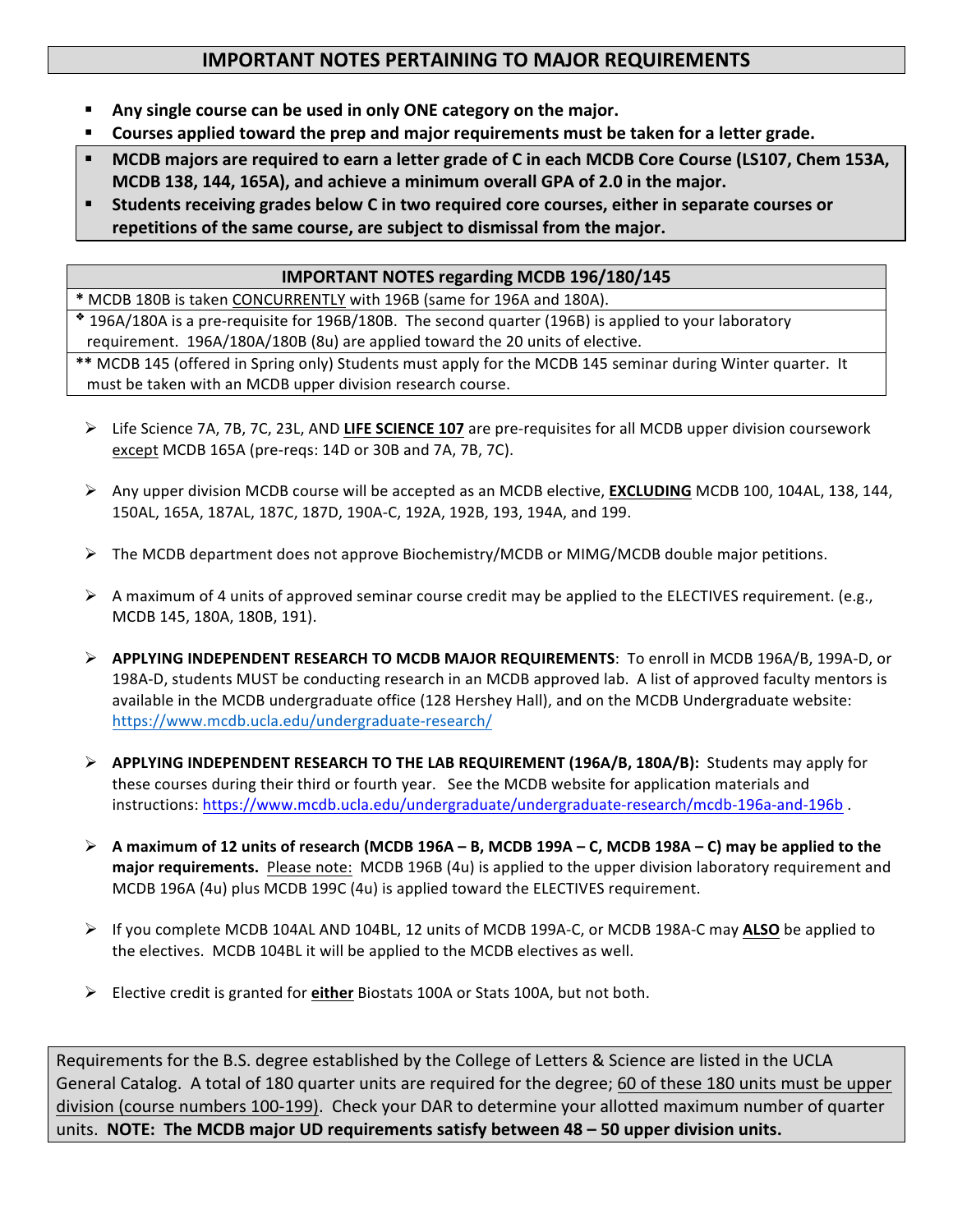## **IMPORTANT NOTES PERTAINING TO MAJOR REQUIREMENTS**

- Any single course can be used in only ONE category on the major.
- **Example Symmus is applied toward the prep and major requirements must be taken for a letter grade.**
- **MCDB** majors are required to earn a letter grade of C in each MCDB Core Course (LS107, Chem 153A, **MCDB 138, 144, 165A), and achieve a minimum overall GPA of 2.0 in the major.**
- Students receiving grades below C in two required core courses, either in separate courses or repetitions of the same course, are subject to dismissal from the major.

### **IMPORTANT NOTES regarding MCDB 196/180/145**

\* MCDB 180B is taken CONCURRENTLY with 196B (same for 196A and 180A).

 $*$  196A/180A is a pre-requisite for 196B/180B. The second quarter (196B) is applied to your laboratory requirement. 196A/180A/180B (8u) are applied toward the 20 units of elective.

\*\* MCDB 145 (offered in Spring only) Students must apply for the MCDB 145 seminar during Winter quarter. It must be taken with an MCDB upper division research course.

- Ø Life Science 7A, 7B, 7C, 23L, AND **LIFE SCIENCE 107** are pre-requisites for all MCDB upper division coursework except MCDB 165A (pre-reqs: 14D or 30B and 7A, 7B, 7C).
- Ø Any upper division MCDB course will be accepted as an MCDB elective, **EXCLUDING** MCDB 100, 104AL, 138, 144, 150AL, 165A, 187AL, 187C, 187D, 190A-C, 192A, 192B, 193, 194A, and 199.
- $\triangleright$  The MCDB department does not approve Biochemistry/MCDB or MIMG/MCDB double major petitions.
- $\triangleright$  A maximum of 4 units of approved seminar course credit may be applied to the ELECTIVES requirement. (e.g., MCDB 145, 180A, 180B, 191).
- **► APPLYING INDEPENDENT RESEARCH TO MCDB MAJOR REQUIREMENTS:** To enroll in MCDB 196A/B, 199A-D, or 198A-D, students MUST be conducting research in an MCDB approved lab. A list of approved faculty mentors is available in the MCDB undergraduate office (128 Hershey Hall), and on the MCDB Undergraduate website: https://www.mcdb.ucla.edu/undergraduate-research/
- **►** APPLYING INDEPENDENT RESEARCH TO THE LAB REQUIREMENT (196A/B, 180A/B): Students may apply for these courses during their third or fourth year. See the MCDB website for application materials and instructions: https://www.mcdb.ucla.edu/undergraduate/undergraduate-research/mcdb-196a-and-196b .
- **A** maximum of 12 units of research (MCDB 196A − B, MCDB 199A − C, MCDB 198A − C) may be applied to the **major requirements.** Please note: MCDB 196B (4u) is applied to the upper division laboratory requirement and MCDB 196A (4u) plus MCDB 199C (4u) is applied toward the ELECTIVES requirement.
- Ø If you complete MCDB 104AL AND 104BL, 12 units of MCDB 199A-C, or MCDB 198A-C may **ALSO** be applied to the electives. MCDB 104BL it will be applied to the MCDB electives as well.
- **►** Elective credit is granted for either Biostats 100A or Stats 100A, but not both.

Requirements for the B.S. degree established by the College of Letters & Science are listed in the UCLA General Catalog. A total of 180 quarter units are required for the degree; 60 of these 180 units must be upper division (course numbers 100-199). Check your DAR to determine your allotted maximum number of quarter units. NOTE: The MCDB major UD requirements satisfy between 48 - 50 upper division units.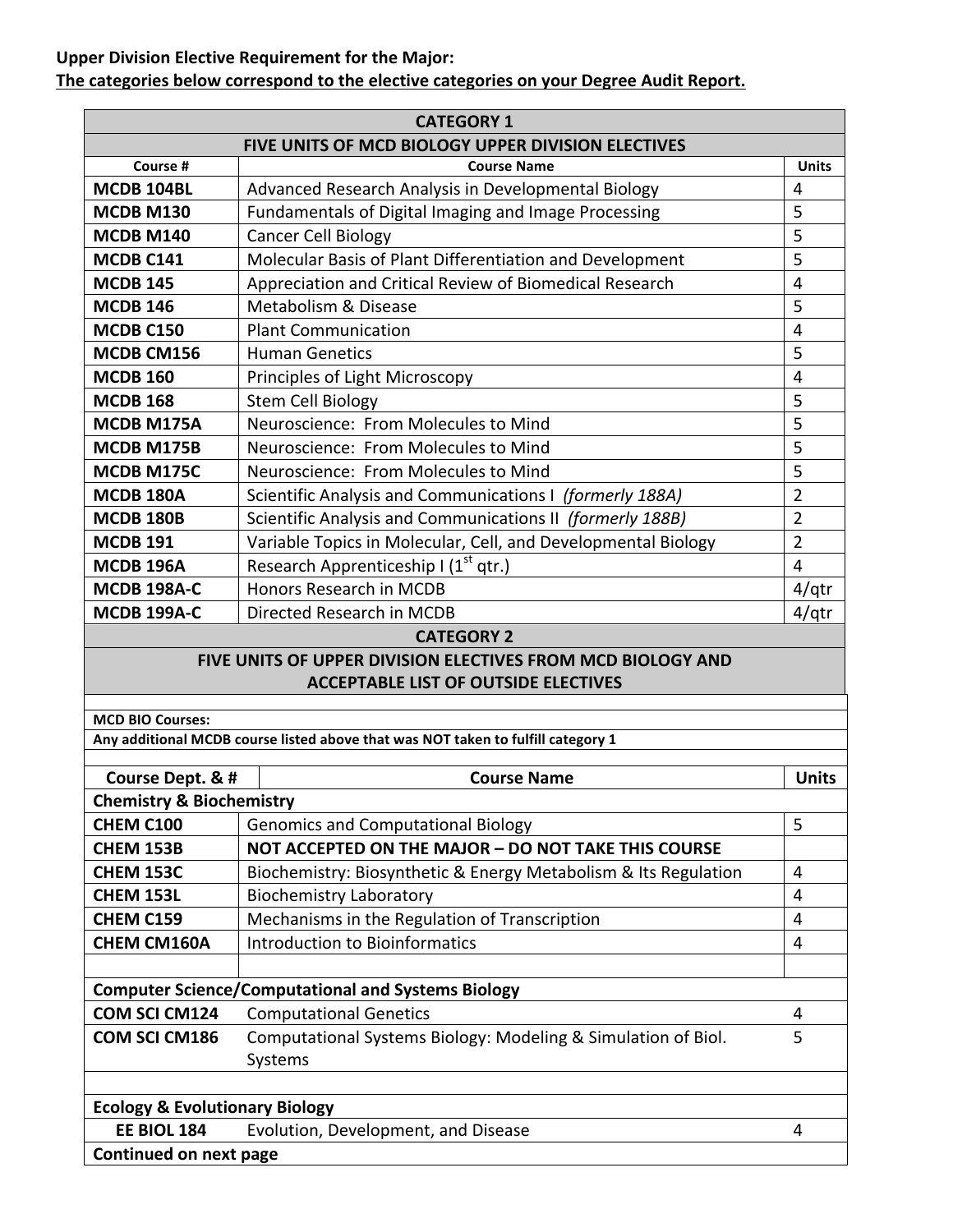### **Upper Division Elective Requirement for the Major:** The categories below correspond to the elective categories on your Degree Audit Report.

| <b>CATEGORY 1</b>                                                             |                                                                                  |                |  |  |  |  |
|-------------------------------------------------------------------------------|----------------------------------------------------------------------------------|----------------|--|--|--|--|
| FIVE UNITS OF MCD BIOLOGY UPPER DIVISION ELECTIVES                            |                                                                                  |                |  |  |  |  |
| Course #                                                                      | <b>Course Name</b>                                                               | <b>Units</b>   |  |  |  |  |
| MCDB 104BL                                                                    | Advanced Research Analysis in Developmental Biology                              | 4              |  |  |  |  |
| <b>MCDB M130</b>                                                              | Fundamentals of Digital Imaging and Image Processing                             | 5              |  |  |  |  |
| <b>MCDB M140</b>                                                              | <b>Cancer Cell Biology</b>                                                       | 5              |  |  |  |  |
| MCDB C141                                                                     | Molecular Basis of Plant Differentiation and Development                         | 5              |  |  |  |  |
| <b>MCDB 145</b>                                                               | Appreciation and Critical Review of Biomedical Research                          | $\overline{4}$ |  |  |  |  |
| <b>MCDB 146</b>                                                               | Metabolism & Disease                                                             | 5              |  |  |  |  |
| <b>MCDB C150</b>                                                              | <b>Plant Communication</b>                                                       | $\overline{4}$ |  |  |  |  |
| MCDB CM156                                                                    | <b>Human Genetics</b>                                                            | 5              |  |  |  |  |
| <b>MCDB 160</b>                                                               | Principles of Light Microscopy                                                   | $\overline{4}$ |  |  |  |  |
| <b>MCDB 168</b>                                                               | <b>Stem Cell Biology</b>                                                         | 5              |  |  |  |  |
| MCDB M175A                                                                    | Neuroscience: From Molecules to Mind                                             | 5              |  |  |  |  |
| MCDB M175B                                                                    | Neuroscience: From Molecules to Mind                                             | 5              |  |  |  |  |
| MCDB M175C<br>Neuroscience: From Molecules to Mind                            |                                                                                  | 5              |  |  |  |  |
| <b>MCDB 180A</b><br>Scientific Analysis and Communications I (formerly 188A)  |                                                                                  | $\overline{2}$ |  |  |  |  |
| Scientific Analysis and Communications II (formerly 188B)<br><b>MCDB 180B</b> |                                                                                  | $\overline{2}$ |  |  |  |  |
| <b>MCDB 191</b>                                                               | Variable Topics in Molecular, Cell, and Developmental Biology                    | $\overline{2}$ |  |  |  |  |
| <b>MCDB 196A</b>                                                              | Research Apprenticeship I (1 <sup>st</sup> qtr.)                                 | 4              |  |  |  |  |
| <b>MCDB 198A-C</b>                                                            | Honors Research in MCDB                                                          | $4$ /qtr       |  |  |  |  |
| <b>MCDB 199A-C</b>                                                            | Directed Research in MCDB                                                        | $4$ /qtr       |  |  |  |  |
|                                                                               | <b>CATEGORY 2</b>                                                                |                |  |  |  |  |
|                                                                               | FIVE UNITS OF UPPER DIVISION ELECTIVES FROM MCD BIOLOGY AND                      |                |  |  |  |  |
|                                                                               | <b>ACCEPTABLE LIST OF OUTSIDE ELECTIVES</b>                                      |                |  |  |  |  |
| <b>MCD BIO Courses:</b>                                                       |                                                                                  |                |  |  |  |  |
|                                                                               | Any additional MCDB course listed above that was NOT taken to fulfill category 1 |                |  |  |  |  |
|                                                                               |                                                                                  |                |  |  |  |  |
| Course Dept. & #                                                              | <b>Course Name</b>                                                               | <b>Units</b>   |  |  |  |  |
| <b>Chemistry &amp; Biochemistry</b>                                           |                                                                                  |                |  |  |  |  |
| CHEM C100                                                                     | <b>Genomics and Computational Biology</b>                                        | 5              |  |  |  |  |
| $C$ uen $A$ 152R                                                              | NOT ACCEPTED ON THE MAIOR - DO NOT TAKE THIS COURSE                              |                |  |  |  |  |

| <b>CHEM 153B</b>                          | NOT ACCEPTED ON THE MAJOR - DO NOT TAKE THIS COURSE             |   |
|-------------------------------------------|-----------------------------------------------------------------|---|
| <b>CHEM 153C</b>                          | Biochemistry: Biosynthetic & Energy Metabolism & Its Regulation | 4 |
| <b>CHEM 153L</b>                          | <b>Biochemistry Laboratory</b>                                  | 4 |
| <b>CHEM C159</b>                          | Mechanisms in the Regulation of Transcription                   | 4 |
| <b>CHEM CM160A</b>                        | Introduction to Bioinformatics                                  | 4 |
|                                           |                                                                 |   |
|                                           | <b>Computer Science/Computational and Systems Biology</b>       |   |
| <b>COM SCI CM124</b>                      | <b>Computational Genetics</b>                                   | 4 |
| <b>COM SCI CM186</b>                      | Computational Systems Biology: Modeling & Simulation of Biol.   | 5 |
|                                           | Systems                                                         |   |
|                                           |                                                                 |   |
| <b>Ecology &amp; Evolutionary Biology</b> |                                                                 |   |

| LUDIUSY & LYURIUMIAI Y DIUIUSY |                                     |  |  |  |  |
|--------------------------------|-------------------------------------|--|--|--|--|
| <b>EE BIOL 184</b>             | Evolution, Development, and Disease |  |  |  |  |
| Continued on next page         |                                     |  |  |  |  |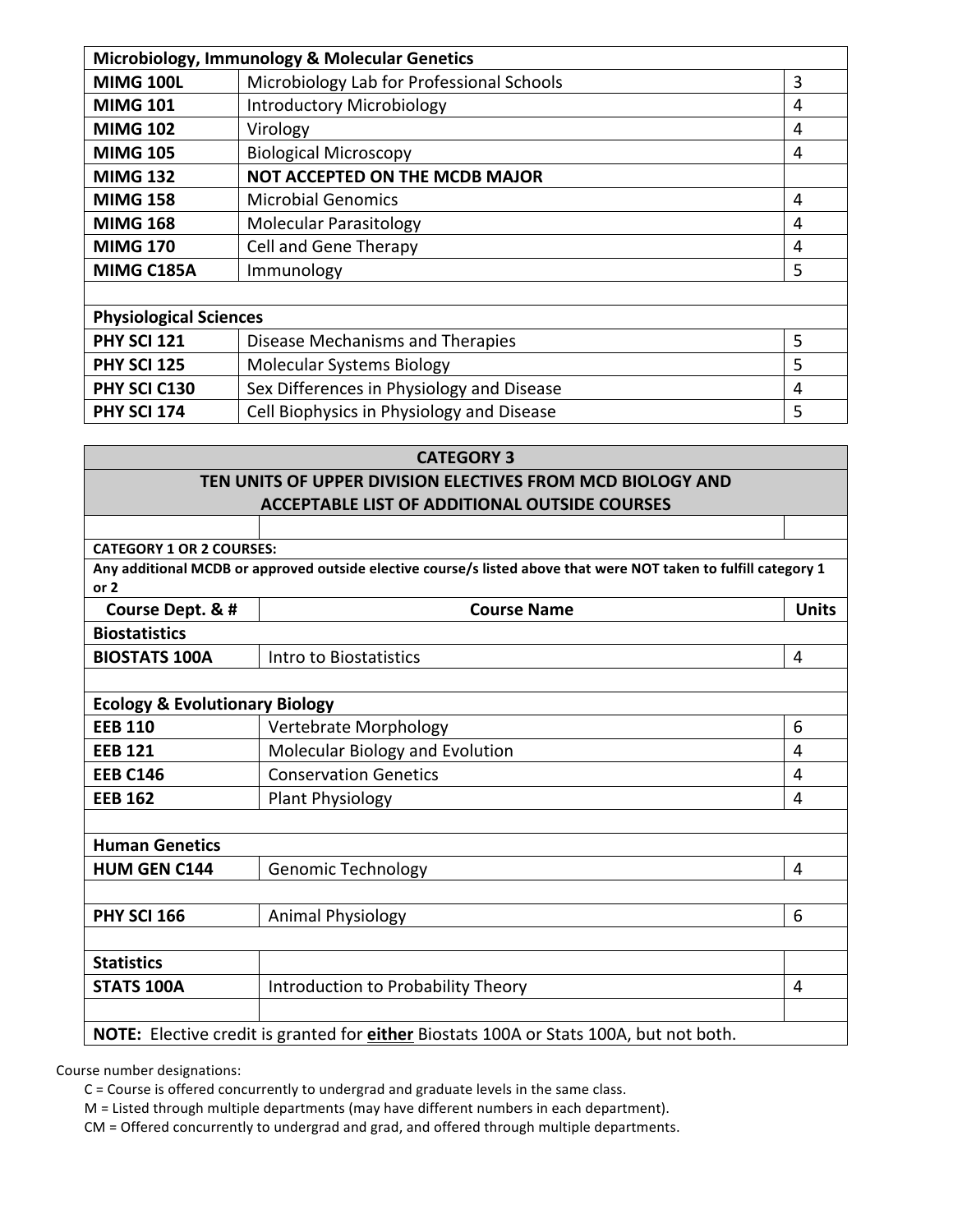| Microbiology, Immunology & Molecular Genetics |                                                |   |  |  |  |
|-----------------------------------------------|------------------------------------------------|---|--|--|--|
| <b>MIMG 100L</b>                              | Microbiology Lab for Professional Schools<br>3 |   |  |  |  |
| <b>MIMG 101</b>                               | <b>Introductory Microbiology</b>               | 4 |  |  |  |
| <b>MIMG 102</b>                               | Virology                                       | 4 |  |  |  |
| <b>MIMG 105</b>                               | <b>Biological Microscopy</b>                   | 4 |  |  |  |
| <b>MIMG 132</b>                               | <b>NOT ACCEPTED ON THE MCDB MAJOR</b>          |   |  |  |  |
| <b>MIMG 158</b>                               | <b>Microbial Genomics</b>                      | 4 |  |  |  |
| <b>MIMG 168</b>                               | <b>Molecular Parasitology</b>                  | 4 |  |  |  |
| <b>MIMG 170</b>                               | Cell and Gene Therapy                          | 4 |  |  |  |
| <b>MIMG C185A</b>                             | Immunology                                     | 5 |  |  |  |
|                                               |                                                |   |  |  |  |
| <b>Physiological Sciences</b>                 |                                                |   |  |  |  |
| <b>PHY SCI 121</b>                            | Disease Mechanisms and Therapies               | 5 |  |  |  |
| <b>PHY SCI 125</b>                            | <b>Molecular Systems Biology</b>               | 5 |  |  |  |
| PHY SCI C130                                  | Sex Differences in Physiology and Disease      | 4 |  |  |  |
| <b>PHY SCI 174</b>                            | Cell Biophysics in Physiology and Disease      | 5 |  |  |  |

| <b>CATEGORY 3</b>                                                                      |                                                                                                                  |              |  |  |  |  |  |  |
|----------------------------------------------------------------------------------------|------------------------------------------------------------------------------------------------------------------|--------------|--|--|--|--|--|--|
| TEN UNITS OF UPPER DIVISION ELECTIVES FROM MCD BIOLOGY AND                             |                                                                                                                  |              |  |  |  |  |  |  |
| <b>ACCEPTABLE LIST OF ADDITIONAL OUTSIDE COURSES</b>                                   |                                                                                                                  |              |  |  |  |  |  |  |
|                                                                                        |                                                                                                                  |              |  |  |  |  |  |  |
| <b>CATEGORY 1 OR 2 COURSES:</b>                                                        |                                                                                                                  |              |  |  |  |  |  |  |
|                                                                                        | Any additional MCDB or approved outside elective course/s listed above that were NOT taken to fulfill category 1 |              |  |  |  |  |  |  |
| or $2$                                                                                 |                                                                                                                  |              |  |  |  |  |  |  |
| Course Dept. & #                                                                       | <b>Course Name</b>                                                                                               | <b>Units</b> |  |  |  |  |  |  |
| <b>Biostatistics</b>                                                                   |                                                                                                                  |              |  |  |  |  |  |  |
| <b>BIOSTATS 100A</b>                                                                   | Intro to Biostatistics                                                                                           | 4            |  |  |  |  |  |  |
|                                                                                        |                                                                                                                  |              |  |  |  |  |  |  |
| <b>Ecology &amp; Evolutionary Biology</b>                                              |                                                                                                                  |              |  |  |  |  |  |  |
| <b>EEB 110</b>                                                                         | Vertebrate Morphology                                                                                            | 6            |  |  |  |  |  |  |
| <b>EEB 121</b>                                                                         | Molecular Biology and Evolution<br>4                                                                             |              |  |  |  |  |  |  |
| <b>Conservation Genetics</b><br><b>EEB C146</b><br>4                                   |                                                                                                                  |              |  |  |  |  |  |  |
| <b>EEB 162</b>                                                                         | Plant Physiology                                                                                                 | 4            |  |  |  |  |  |  |
|                                                                                        |                                                                                                                  |              |  |  |  |  |  |  |
| <b>Human Genetics</b>                                                                  |                                                                                                                  |              |  |  |  |  |  |  |
| <b>HUM GEN C144</b>                                                                    | <b>Genomic Technology</b>                                                                                        | 4            |  |  |  |  |  |  |
|                                                                                        |                                                                                                                  |              |  |  |  |  |  |  |
| <b>PHY SCI 166</b>                                                                     | Animal Physiology                                                                                                | 6            |  |  |  |  |  |  |
|                                                                                        |                                                                                                                  |              |  |  |  |  |  |  |
| <b>Statistics</b>                                                                      |                                                                                                                  |              |  |  |  |  |  |  |
| <b>STATS 100A</b>                                                                      | Introduction to Probability Theory                                                                               | 4            |  |  |  |  |  |  |
|                                                                                        |                                                                                                                  |              |  |  |  |  |  |  |
| NOTE: Elective credit is granted for either Biostats 100A or Stats 100A, but not both. |                                                                                                                  |              |  |  |  |  |  |  |

Course number designations:

 $C$  = Course is offered concurrently to undergrad and graduate levels in the same class.

M = Listed through multiple departments (may have different numbers in each department).

CM = Offered concurrently to undergrad and grad, and offered through multiple departments.